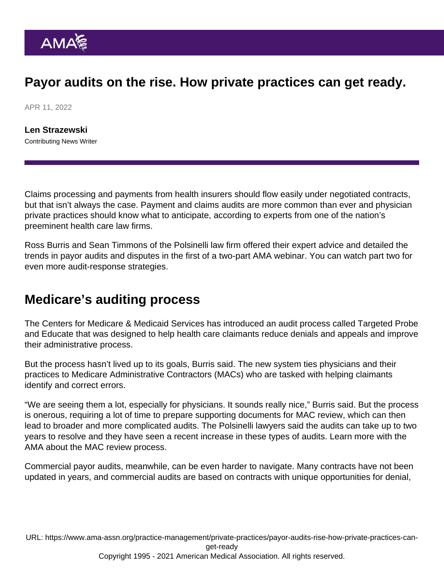## Payor audits on the rise. How private practices can get ready.

APR 11, 2022

[Len Strazewski](https://www.ama-assn.org/news-leadership-viewpoints/authors-news-leadership-viewpoints/len-strazewski) Contributing News Writer

Claims processing and payments from health insurers should flow easily under negotiated contracts, but that isn't always the case. Payment and claims audits are more common than ever and physician [private practices](https://www.ama-assn.org/practice-management/private-practices) should know what to anticipate, according to experts from one of the nation's preeminent health care law firms.

Ross Burris and Sean Timmons of the Polsinelli law firm offered their expert advice and detailed the [trends in payor audits and disputes](https://youtu.be/xsrvGmToWbA) in the first of a two-part AMA webinar. You can watch [part two for](https://youtu.be/KKko2MsY4Cw) [even more audit-response strategies.](https://youtu.be/KKko2MsY4Cw)

## Medicare's auditing process

The Centers for Medicare & Medicaid Services has introduced an audit process called [Targeted Probe](https://www.cms.gov/Research-Statistics-Data-and-Systems/Monitoring-Programs/Medicare-FFS-Compliance-Programs/Medical-Review/Targeted-Probe-and-EducateTPE.html) [and Educate](https://www.cms.gov/Research-Statistics-Data-and-Systems/Monitoring-Programs/Medicare-FFS-Compliance-Programs/Medical-Review/Targeted-Probe-and-EducateTPE.html) that was designed to help health care claimants reduce denials and appeals and improve their administrative process.

But the process hasn't lived up to its goals, Burris said. The new system ties physicians and their practices to Medicare Administrative Contractors (MACs) who are tasked with helping claimants identify and correct errors.

"We are seeing them a lot, especially for physicians. It sounds really nice," Burris said. But the process is onerous, requiring a lot of time to prepare supporting documents for MAC review, which can then lead to broader and more complicated audits. The Polsinelli lawyers said the audits can take up to two years to resolve and they have seen a recent increase in these types of audits. Learn more with the AMA about [the MAC review process.](https://www.ama-assn.org/practice-management/medicare-medicaid/medicare-waste-fraud-abuse)

Commercial payor audits, meanwhile, can be even harder to navigate. Many contracts have not been updated in years, and commercial audits are based on contracts with unique opportunities for denial,

URL: [https://www.ama-assn.org/practice-management/private-practices/payor-audits-rise-how-private-practices-can](https://www.ama-assn.org/practice-management/private-practices/payor-audits-rise-how-private-practices-can-get-ready)[get-ready](https://www.ama-assn.org/practice-management/private-practices/payor-audits-rise-how-private-practices-can-get-ready) Copyright 1995 - 2021 American Medical Association. All rights reserved.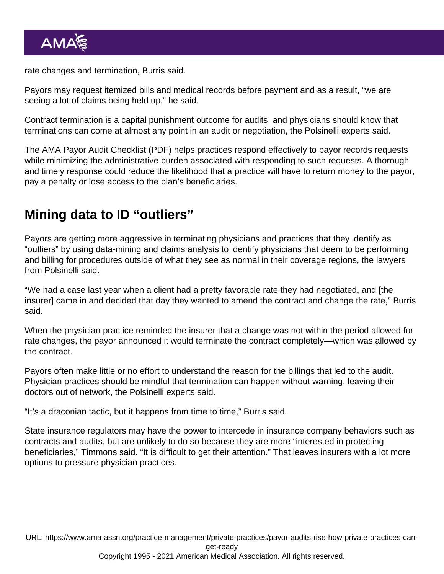rate changes and termination, Burris said.

Payors may request itemized bills and medical records before payment and as a result, "we are seeing a lot of claims being held up," he said.

Contract termination is a capital punishment outcome for audits, and physicians should know that terminations can come at almost any point in an audit or negotiation, the Polsinelli experts said.

The [AMA Payor Audit Checklist](https://www.ama-assn.org/system/files/payor-audit-checklist.pdf) (PDF) helps practices respond effectively to payor records requests while minimizing the administrative burden associated with responding to such requests. A thorough and timely response could reduce the likelihood that a practice will have to return money to the payor, pay a penalty or lose access to the plan's beneficiaries.

## Mining data to ID "outliers"

Payors are getting more aggressive in terminating physicians and practices that they identify as "outliers" by using data-mining and claims analysis to identify physicians that deem to be performing and billing for procedures outside of what they see as normal in their coverage regions, the lawyers from Polsinelli said.

"We had a case last year when a client had a pretty favorable rate they had negotiated, and [the insurer] came in and decided that day they wanted to amend the contract and change the rate," Burris said.

When the physician practice reminded the insurer that a change was not within the period allowed for rate changes, the payor announced it would terminate the contract completely—which was allowed by the contract.

Payors often make little or no effort to understand the reason for the billings that led to the audit. Physician practices should be mindful that termination can happen without warning, leaving their doctors out of network, the Polsinelli experts said.

"It's a draconian tactic, but it happens from time to time," Burris said.

State insurance regulators may have the power to intercede in insurance company behaviors such as contracts and audits, but are unlikely to do so because they are more "interested in protecting beneficiaries," Timmons said. "It is difficult to get their attention." That leaves insurers with a lot more options to pressure physician practices.

URL: [https://www.ama-assn.org/practice-management/private-practices/payor-audits-rise-how-private-practices-can](https://www.ama-assn.org/practice-management/private-practices/payor-audits-rise-how-private-practices-can-get-ready)[get-ready](https://www.ama-assn.org/practice-management/private-practices/payor-audits-rise-how-private-practices-can-get-ready) Copyright 1995 - 2021 American Medical Association. All rights reserved.